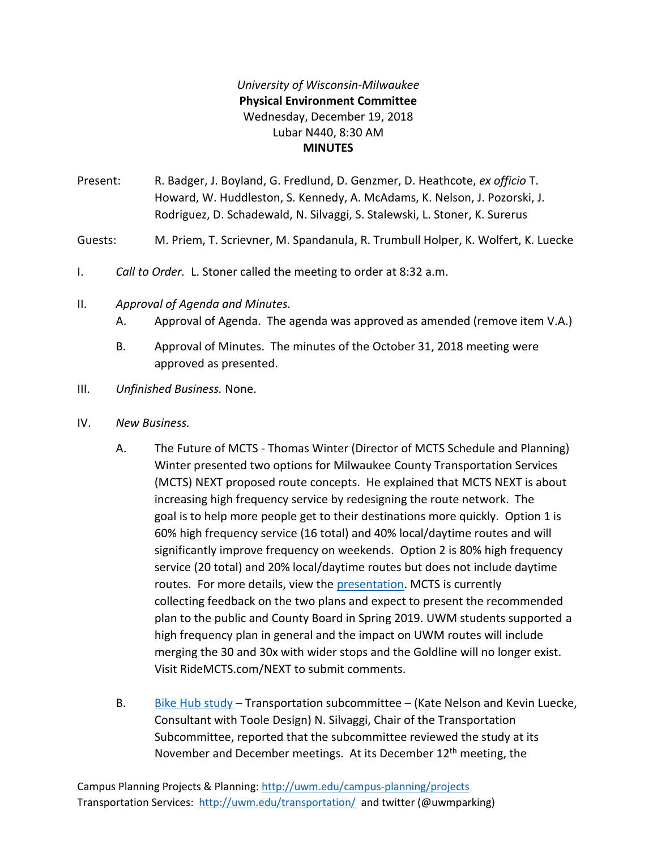## *University of Wisconsin-Milwaukee* **Physical Environment Committee** Wednesday, December 19, 2018 Lubar N440, 8:30 AM **MINUTES**

Present: R. Badger, J. Boyland, G. Fredlund, D. Genzmer, D. Heathcote, *ex officio* T. Howard, W. Huddleston, S. Kennedy, A. McAdams, K. Nelson, J. Pozorski, J. Rodriguez, D. Schadewald, N. Silvaggi, S. Stalewski, L. Stoner, K. Surerus

Guests: M. Priem, T. Scrievner, M. Spandanula, R. Trumbull Holper, K. Wolfert, K. Luecke

- I. *Call to Order.* L. Stoner called the meeting to order at 8:32 a.m.
- II. *Approval of Agenda and Minutes.*
	- A. Approval of Agenda. The agenda was approved as amended (remove item V.A.)
	- B. Approval of Minutes. The minutes of the October 31, 2018 meeting were approved as presented.
- III. *Unfinished Business.* None.
- IV. *New Business.*
	- A. The Future of MCTS Thomas Winter (Director of MCTS Schedule and Planning) Winter presented two options for Milwaukee County Transportation Services (MCTS) NEXT proposed route concepts. He explained that MCTS NEXT is about increasing high frequency service by redesigning the route network. The goal is to help more people get to their destinations more quickly. Option 1 is 60% high frequency service (16 total) and 40% local/daytime routes and will significantly improve frequency on weekends. Option 2 is 80% high frequency service (20 total) and 20% local/daytime routes but does not include daytime routes. For more details, view the [presentation.](https://uwm.edu/secu/wp-content/uploads/sites/122/2019/01/MCTS-NEXT-UWM-December-2018.pdf) MCTS is currently collecting feedback on the two plans and expect to present the recommended plan to the public and County Board in Spring 2019. UWM students supported a high frequency plan in general and the impact on UWM routes will include merging the 30 and 30x with wider stops and the Goldline will no longer exist. Visit RideMCTS.com/NEXT to submit comments.
	- B. Bike Hub [study](https://uwm.edu/secu/faculty/standing/pec/agendas/2018-2019/) Transportation subcommittee (Kate Nelson and Kevin Luecke, Consultant with Toole Design) N. Silvaggi, Chair of the Transportation Subcommittee, reported that the subcommittee reviewed the study at its November and December meetings. At its December  $12<sup>th</sup>$  meeting, the